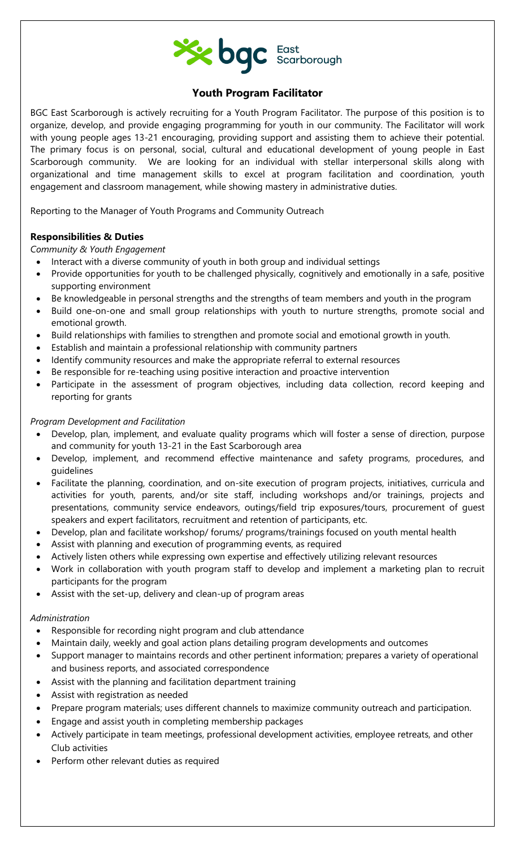

# **Youth Program Facilitator**

BGC East Scarborough is actively recruiting for a Youth Program Facilitator. The purpose of this position is to organize, develop, and provide engaging programming for youth in our community. The Facilitator will work with young people ages 13-21 encouraging, providing support and assisting them to achieve their potential. The primary focus is on personal, social, cultural and educational development of young people in East Scarborough community. We are looking for an individual with stellar interpersonal skills along with organizational and time management skills to excel at program facilitation and coordination, youth engagement and classroom management, while showing mastery in administrative duties.

Reporting to the Manager of Youth Programs and Community Outreach

## **Responsibilities & Duties**

*Community & Youth Engagement*

- Interact with a diverse community of youth in both group and individual settings
- Provide opportunities for youth to be challenged physically, cognitively and emotionally in a safe, positive supporting environment
- Be knowledgeable in personal strengths and the strengths of team members and youth in the program
- Build one-on-one and small group relationships with youth to nurture strengths, promote social and emotional growth.
- Build relationships with families to strengthen and promote social and emotional growth in youth.
- Establish and maintain a professional relationship with community partners
- Identify community resources and make the appropriate referral to external resources
- Be responsible for re-teaching using positive interaction and proactive intervention
- Participate in the assessment of program objectives, including data collection, record keeping and reporting for grants

### *Program Development and Facilitation*

- Develop, plan, implement, and evaluate quality programs which will foster a sense of direction, purpose and community for youth 13-21 in the East Scarborough area
- Develop, implement, and recommend effective maintenance and safety programs, procedures, and guidelines
- Facilitate the planning, coordination, and on-site execution of program projects, initiatives, curricula and activities for youth, parents, and/or site staff, including workshops and/or trainings, projects and presentations, community service endeavors, outings/field trip exposures/tours, procurement of guest speakers and expert facilitators, recruitment and retention of participants, etc.
- Develop, plan and facilitate workshop/ forums/ programs/trainings focused on youth mental health
- Assist with planning and execution of programming events, as required
- Actively listen others while expressing own expertise and effectively utilizing relevant resources
- Work in collaboration with youth program staff to develop and implement a marketing plan to recruit participants for the program
- Assist with the set-up, delivery and clean-up of program areas

#### *Administration*

- Responsible for recording night program and club attendance
- Maintain daily, weekly and goal action plans detailing program developments and outcomes
- Support manager to maintains records and other pertinent information; prepares a variety of operational and business reports, and associated correspondence
- Assist with the planning and facilitation department training
- Assist with registration as needed
- Prepare program materials; uses different channels to maximize community outreach and participation.
- Engage and assist youth in completing membership packages
- Actively participate in team meetings, professional development activities, employee retreats, and other Club activities
- Perform other relevant duties as required